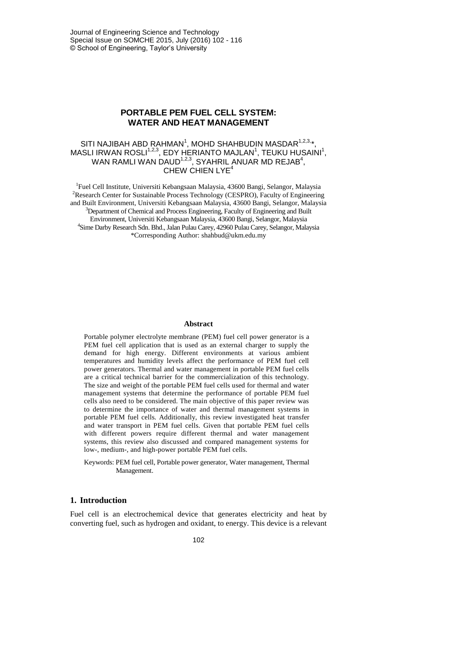Journal of Engineering Science and Technology Special Issue on SOMCHE 2015, July (2016) 102 - 116 © School of Engineering, Taylor's University

# **PORTABLE PEM FUEL CELL SYSTEM: WATER AND HEAT MANAGEMENT**

## SITI NAJIBAH ABD RAHMAN<sup>1</sup>, MOHD SHAHBUDIN MASDAR<sup>1,2,3,</sup>\*, MASLI IRWAN ROSLI $1,2,3}$ , EDY HERIANTO MAJLAN<sup>1</sup>, TEUKU HUSAINI<sup>1</sup>, WAN RAMLI WAN DAUD $1,2,3$ , SYAHRIL ANUAR MD REJAB $4$ , CHEW CHIEN LYE<sup>4</sup>

<sup>1</sup>Fuel Cell Institute, Universiti Kebangsaan Malaysia, 43600 Bangi, Selangor, Malaysia <sup>2</sup>Research Center for Sustainable Process Technology (CESPRO), Faculty of Engineering and Built Environment, Universiti Kebangsaan Malaysia, 43600 Bangi, Selangor, Malaysia <sup>3</sup>Department of Chemical and Process Engineering, Faculty of Engineering and Built Environment, Universiti Kebangsaan Malaysia, 43600 Bangi, Selangor, Malaysia 4 Sime Darby Research Sdn. Bhd., Jalan Pulau Carey, 42960 Pulau Carey, Selangor, Malaysia \*Corresponding Author[: shahbud@ukm.edu.my](mailto:shahbud@ukm.edu.my)

#### **Abstract**

Portable polymer electrolyte membrane (PEM) fuel cell power generator is a PEM fuel cell application that is used as an external charger to supply the demand for high energy. Different environments at various ambient temperatures and humidity levels affect the performance of PEM fuel cell power generators. Thermal and water management in portable PEM fuel cells are a critical technical barrier for the commercialization of this technology. The size and weight of the portable PEM fuel cells used for thermal and water management systems that determine the performance of portable PEM fuel cells also need to be considered. The main objective of this paper review was to determine the importance of water and thermal management systems in portable PEM fuel cells. Additionally, this review investigated heat transfer and water transport in PEM fuel cells. Given that portable PEM fuel cells with different powers require different thermal and water management systems, this review also discussed and compared management systems for low-, medium-, and high-power portable PEM fuel cells.

Keywords: PEM fuel cell, Portable power generator, Water management, Thermal Management.

### **1. Introduction**

Fuel cell is an electrochemical device that generates electricity and heat by converting fuel, such as hydrogen and oxidant, to energy. This device is a relevant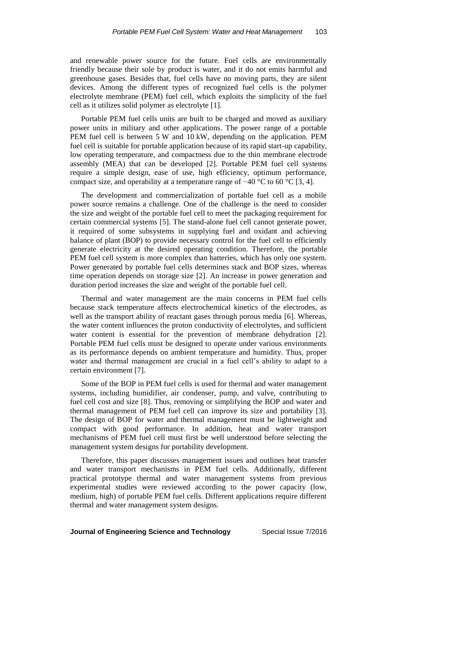and renewable power source for the future. Fuel cells are environmentally friendly because their sole by product is water, and it do not emits harmful and greenhouse gases. Besides that, fuel cells have no moving parts, they are silent devices. Among the different types of recognized fuel cells is the polymer electrolyte membrane (PEM) fuel cell, which exploits the simplicity of the fuel cell as it utilizes solid polymer as electrolyte [1].

Portable PEM fuel cells units are built to be charged and moved as auxiliary power units in military and other applications. The power range of a portable PEM fuel cell is between 5 W and 10 kW, depending on the application. PEM fuel cell is suitable for portable application because of its rapid start-up capability, low operating temperature, and compactness due to the thin membrane electrode assembly (MEA) that can be developed [2]. Portable PEM fuel cell systems require a simple design, ease of use, high efficiency, optimum performance, compact size, and operability at a temperature range of −40 °C to 60 °C [3, 4].

The development and commercialization of portable fuel cell as a mobile power source remains a challenge. One of the challenge is the need to consider the size and weight of the portable fuel cell to meet the packaging requirement for certain commercial systems [5]. The stand-alone fuel cell cannot generate power, it required of some subsystems in supplying fuel and oxidant and achieving balance of plant (BOP) to provide necessary control for the fuel cell to efficiently generate electricity at the desired operating condition. Therefore, the portable PEM fuel cell system is more complex than batteries, which has only one system. Power generated by portable fuel cells determines stack and BOP sizes, whereas time operation depends on storage size [2]. An increase in power generation and duration period increases the size and weight of the portable fuel cell.

Thermal and water management are the main concerns in PEM fuel cells because stack temperature affects electrochemical kinetics of the electrodes, as well as the transport ability of reactant gases through porous media [6]. Whereas, the water content influences the proton conductivity of electrolytes, and sufficient water content is essential for the prevention of membrane dehydration [2]. Portable PEM fuel cells must be designed to operate under various environments as its performance depends on ambient temperature and humidity. Thus, proper water and thermal management are crucial in a fuel cell's ability to adapt to a certain environment [7].

Some of the BOP in PEM fuel cells is used for thermal and water management systems, including humidifier, air condenser, pump, and valve, contributing to fuel cell cost and size [8]. Thus, removing or simplifying the BOP and water and thermal management of PEM fuel cell can improve its size and portability [3]. The design of BOP for water and thermal management must be lightweight and compact with good performance. In addition, heat and water transport mechanisms of PEM fuel cell must first be well understood before selecting the management system designs for portability development.

Therefore, this paper discusses management issues and outlines heat transfer and water transport mechanisms in PEM fuel cells. Additionally, different practical prototype thermal and water management systems from previous experimental studies were reviewed according to the power capacity (low, medium, high) of portable PEM fuel cells. Different applications require different thermal and water management system designs.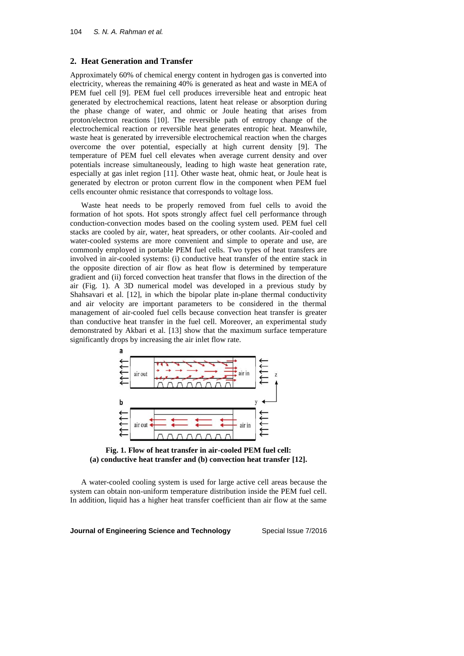### **2. Heat Generation and Transfer**

Approximately 60% of chemical energy content in hydrogen gas is converted into electricity, whereas the remaining 40% is generated as heat and waste in MEA of PEM fuel cell [9]. PEM fuel cell produces irreversible heat and entropic heat generated by electrochemical reactions, latent heat release or absorption during the phase change of water, and ohmic or Joule heating that arises from proton/electron reactions [10]. The reversible path of entropy change of the electrochemical reaction or reversible heat generates entropic heat. Meanwhile, waste heat is generated by irreversible electrochemical reaction when the charges overcome the over potential, especially at high current density [9]. The temperature of PEM fuel cell elevates when average current density and over potentials increase simultaneously, leading to high waste heat generation rate, especially at gas inlet region [11]. Other waste heat, ohmic heat, or Joule heat is generated by electron or proton current flow in the component when PEM fuel cells encounter ohmic resistance that corresponds to voltage loss.

Waste heat needs to be properly removed from fuel cells to avoid the formation of hot spots. Hot spots strongly affect fuel cell performance through conduction-convection modes based on the cooling system used. PEM fuel cell stacks are cooled by air, water, heat spreaders, or other coolants. Air-cooled and water-cooled systems are more convenient and simple to operate and use, are commonly employed in portable PEM fuel cells. Two types of heat transfers are involved in air-cooled systems: (i) conductive heat transfer of the entire stack in the opposite direction of air flow as heat flow is determined by temperature gradient and (ii) forced convection heat transfer that flows in the direction of the air (Fig. 1). A 3D numerical model was developed in a previous study by Shahsavari et al. [12], in which the bipolar plate in-plane thermal conductivity and air velocity are important parameters to be considered in the thermal management of air-cooled fuel cells because convection heat transfer is greater than conductive heat transfer in the fuel cell. Moreover, an experimental study demonstrated by Akbari et al. [13] show that the maximum surface temperature significantly drops by increasing the air inlet flow rate.



**Fig. 1. Flow of heat transfer in air-cooled PEM fuel cell: (a) conductive heat transfer and (b) convection heat transfer [12].**

A water-cooled cooling system is used for large active cell areas because the system can obtain non-uniform temperature distribution inside the PEM fuel cell. In addition, liquid has a higher heat transfer coefficient than air flow at the same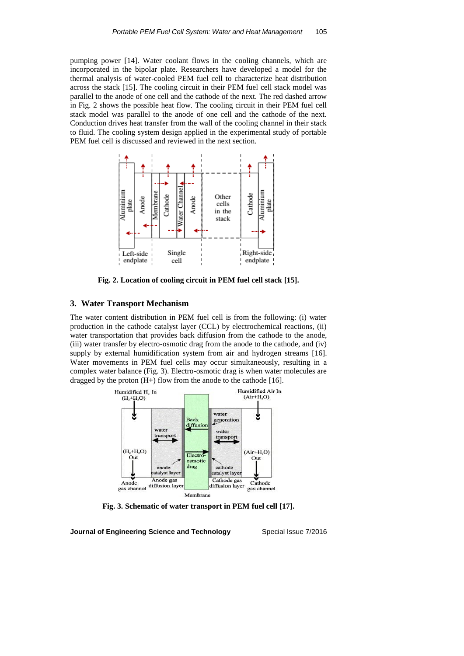pumping power [14]. Water coolant flows in the cooling channels, which are incorporated in the bipolar plate. Researchers have developed a model for the thermal analysis of water-cooled PEM fuel cell to characterize heat distribution across the stack [15]. The cooling circuit in their PEM fuel cell stack model was parallel to the anode of one cell and the cathode of the next. The red dashed arrow in Fig. 2 shows the possible heat flow. The cooling circuit in their PEM fuel cell stack model was parallel to the anode of one cell and the cathode of the next. Conduction drives heat transfer from the wall of the cooling channel in their stack to fluid. The cooling system design applied in the experimental study of portable PEM fuel cell is discussed and reviewed in the next section.



**Fig. 2. Location of cooling circuit in PEM fuel cell stack [15].**

### **3. Water Transport Mechanism**

The water content distribution in PEM fuel cell is from the following: (i) water production in the cathode catalyst layer (CCL) by electrochemical reactions, (ii) water transportation that provides back diffusion from the cathode to the anode, (iii) water transfer by electro-osmotic drag from the anode to the cathode, and (iv) supply by external humidification system from air and hydrogen streams [16]. Water movements in PEM fuel cells may occur simultaneously, resulting in a complex water balance (Fig. 3). Electro-osmotic drag is when water molecules are dragged by the proton  $(H+)$  flow from the anode to the cathode [16].



**Fig. 3. Schematic of water transport in PEM fuel cell [17].**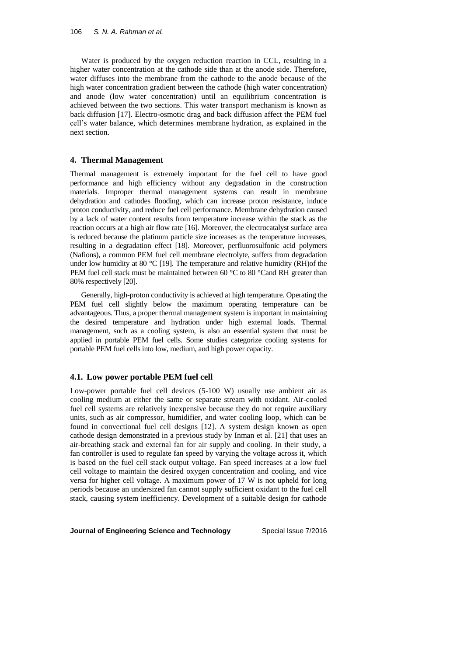Water is produced by the oxygen reduction reaction in CCL, resulting in a higher water concentration at the cathode side than at the anode side. Therefore, water diffuses into the membrane from the cathode to the anode because of the high water concentration gradient between the cathode (high water concentration) and anode (low water concentration) until an equilibrium concentration is achieved between the two sections. This water transport mechanism is known as back diffusion [17]. Electro-osmotic drag and back diffusion affect the PEM fuel cell's water balance, which determines membrane hydration, as explained in the next section.

### **4. Thermal Management**

Thermal management is extremely important for the fuel cell to have good performance and high efficiency without any degradation in the construction materials. Improper thermal management systems can result in membrane dehydration and cathodes flooding, which can increase proton resistance, induce proton conductivity, and reduce fuel cell performance. Membrane dehydration caused by a lack of water content results from temperature increase within the stack as the reaction occurs at a high air flow rate [16]. Moreover, the electrocatalyst surface area is reduced because the platinum particle size increases as the temperature increases, resulting in a degradation effect [18]. Moreover, perfluorosulfonic acid polymers (Nafions), a common PEM fuel cell membrane electrolyte, suffers from degradation under low humidity at 80  $^{\circ}$ C [19]. The temperature and relative humidity (RH)of the PEM fuel cell stack must be maintained between 60 °C to 80 °Cand RH greater than 80% respectively [20].

Generally, high-proton conductivity is achieved at high temperature. Operating the PEM fuel cell slightly below the maximum operating temperature can be advantageous. Thus, a proper thermal management system is important in maintaining the desired temperature and hydration under high external loads. Thermal management, such as a cooling system, is also an essential system that must be applied in portable PEM fuel cells. Some studies categorize cooling systems for portable PEM fuel cells into low, medium, and high power capacity.

### **4.1. Low power portable PEM fuel cell**

Low-power portable fuel cell devices (5-100 W) usually use ambient air as cooling medium at either the same or separate stream with oxidant. Air-cooled fuel cell systems are relatively inexpensive because they do not require auxiliary units, such as air compressor, humidifier, and water cooling loop, which can be found in convectional fuel cell designs [12]. A system design known as open cathode design demonstrated in a previous study by Inman et al. [21] that uses an air-breathing stack and external fan for air supply and cooling. In their study, a fan controller is used to regulate fan speed by varying the voltage across it, which is based on the fuel cell stack output voltage. Fan speed increases at a low fuel cell voltage to maintain the desired oxygen concentration and cooling, and vice versa for higher cell voltage. A maximum power of 17 W is not upheld for long periods because an undersized fan cannot supply sufficient oxidant to the fuel cell stack, causing system inefficiency. Development of a suitable design for cathode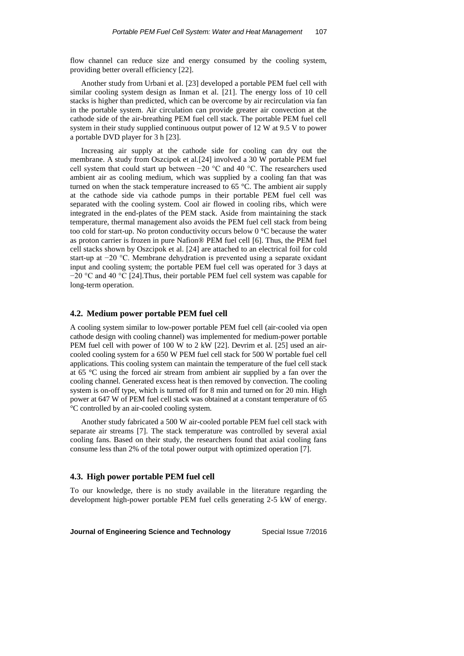flow channel can reduce size and energy consumed by the cooling system, providing better overall efficiency [22].

Another study from Urbani et al. [23] developed a portable PEM fuel cell with similar cooling system design as Inman et al. [21]. The energy loss of 10 cell stacks is higher than predicted, which can be overcome by air recirculation via fan in the portable system. Air circulation can provide greater air convection at the cathode side of the air-breathing PEM fuel cell stack. The portable PEM fuel cell system in their study supplied continuous output power of 12 W at 9.5 V to power a portable DVD player for 3 h [23].

Increasing air supply at the cathode side for cooling can dry out the membrane. A study from Oszcipok et al.[24] involved a 30 W portable PEM fuel cell system that could start up between −20 °C and 40 °C. The researchers used ambient air as cooling medium, which was supplied by a cooling fan that was turned on when the stack temperature increased to 65 °C. The ambient air supply at the cathode side via cathode pumps in their portable PEM fuel cell was separated with the cooling system. Cool air flowed in cooling ribs, which were integrated in the end-plates of the PEM stack. Aside from maintaining the stack temperature, thermal management also avoids the PEM fuel cell stack from being too cold for start-up. No proton conductivity occurs below 0 °C because the water as proton carrier is frozen in pure Nafion® PEM fuel cell [6]. Thus, the PEM fuel cell stacks shown by Oszcipok et al. [24] are attached to an electrical foil for cold start-up at −20 °C. Membrane dehydration is prevented using a separate oxidant input and cooling system; the portable PEM fuel cell was operated for 3 days at −20 °C and 40 °C [24].Thus, their portable PEM fuel cell system was capable for long-term operation.

### **4.2. Medium power portable PEM fuel cell**

A cooling system similar to low-power portable PEM fuel cell (air-cooled via open cathode design with cooling channel) was implemented for medium-power portable PEM fuel cell with power of 100 W to 2 kW [22]. Devrim et al. [25] used an aircooled cooling system for a 650 W PEM fuel cell stack for 500 W portable fuel cell applications. This cooling system can maintain the temperature of the fuel cell stack at 65 °C using the forced air stream from ambient air supplied by a fan over the cooling channel. Generated excess heat is then removed by convection. The cooling system is on-off type, which is turned off for 8 min and turned on for 20 min. High power at 647 W of PEM fuel cell stack was obtained at a constant temperature of 65 °C controlled by an air-cooled cooling system.

Another study fabricated a 500 W air-cooled portable PEM fuel cell stack with separate air streams [7]. The stack temperature was controlled by several axial cooling fans. Based on their study, the researchers found that axial cooling fans consume less than 2% of the total power output with optimized operation [7].

### **4.3. High power portable PEM fuel cell**

To our knowledge, there is no study available in the literature regarding the development high-power portable PEM fuel cells generating 2-5 kW of energy.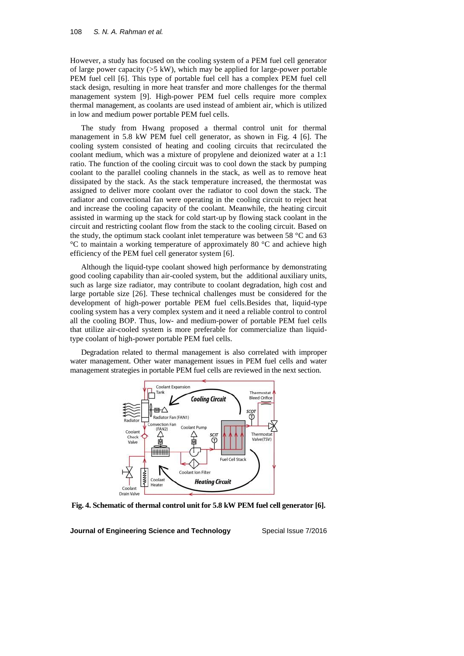However, a study has focused on the cooling system of a PEM fuel cell generator of large power capacity  $(55 \text{ kW})$ , which may be applied for large-power portable PEM fuel cell [6]. This type of portable fuel cell has a complex PEM fuel cell stack design, resulting in more heat transfer and more challenges for the thermal management system [9]. High-power PEM fuel cells require more complex thermal management, as coolants are used instead of ambient air, which is utilized in low and medium power portable PEM fuel cells.

The study from Hwang proposed a thermal control unit for thermal management in 5.8 kW PEM fuel cell generator, as shown in Fig. 4 [6]. The cooling system consisted of heating and cooling circuits that recirculated the coolant medium, which was a mixture of propylene and deionized water at a 1:1 ratio. The function of the cooling circuit was to cool down the stack by pumping coolant to the parallel cooling channels in the stack, as well as to remove heat dissipated by the stack. As the stack temperature increased, the thermostat was assigned to deliver more coolant over the radiator to cool down the stack. The radiator and convectional fan were operating in the cooling circuit to reject heat and increase the cooling capacity of the coolant. Meanwhile, the heating circuit assisted in warming up the stack for cold start-up by flowing stack coolant in the circuit and restricting coolant flow from the stack to the cooling circuit. Based on the study, the optimum stack coolant inlet temperature was between 58 °C and 63 °C to maintain a working temperature of approximately 80 °C and achieve high efficiency of the PEM fuel cell generator system [6].

Although the liquid-type coolant showed high performance by demonstrating good cooling capability than air-cooled system, but the additional auxiliary units, such as large size radiator, may contribute to coolant degradation, high cost and large portable size [26]. These technical challenges must be considered for the development of high-power portable PEM fuel cells.Besides that, liquid-type cooling system has a very complex system and it need a reliable control to control all the cooling BOP. Thus, low- and medium-power of portable PEM fuel cells that utilize air-cooled system is more preferable for commercialize than liquidtype coolant of high-power portable PEM fuel cells.

Degradation related to thermal management is also correlated with improper water management. Other water management issues in PEM fuel cells and water management strategies in portable PEM fuel cells are reviewed in the next section.



**Fig. 4. Schematic of thermal control unit for 5.8 kW PEM fuel cell generator [6].**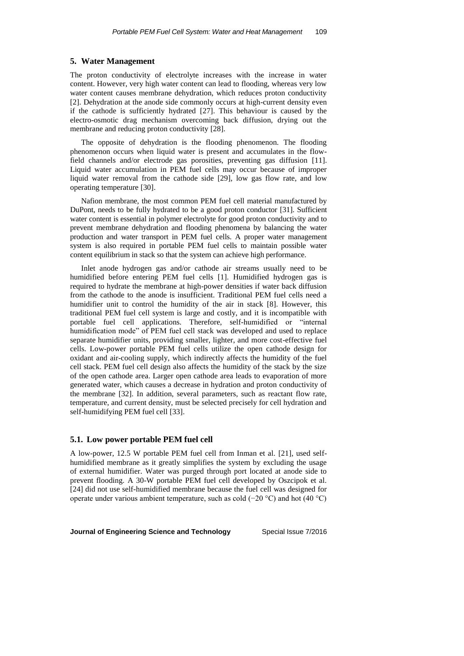### **5. Water Management**

The proton conductivity of electrolyte increases with the increase in water content. However, very high water content can lead to flooding, whereas very low water content causes membrane dehydration, which reduces proton conductivity [2]. Dehydration at the anode side commonly occurs at high-current density even if the cathode is sufficiently hydrated [27]. This behaviour is caused by the electro-osmotic drag mechanism overcoming back diffusion, drying out the membrane and reducing proton conductivity [28].

The opposite of dehydration is the flooding phenomenon. The flooding phenomenon occurs when liquid water is present and accumulates in the flowfield channels and/or electrode gas porosities, preventing gas diffusion [11]. Liquid water accumulation in PEM fuel cells may occur because of improper liquid water removal from the cathode side [29], low gas flow rate, and low operating temperature [30].

Nafion membrane, the most common PEM fuel cell material manufactured by DuPont, needs to be fully hydrated to be a good proton conductor [31]. Sufficient water content is essential in polymer electrolyte for good proton conductivity and to prevent membrane dehydration and flooding phenomena by balancing the water production and water transport in PEM fuel cells. A proper water management system is also required in portable PEM fuel cells to maintain possible water content equilibrium in stack so that the system can achieve high performance.

Inlet anode hydrogen gas and/or cathode air streams usually need to be humidified before entering PEM fuel cells [1]. Humidified hydrogen gas is required to hydrate the membrane at high-power densities if water back diffusion from the cathode to the anode is insufficient. Traditional PEM fuel cells need a humidifier unit to control the humidity of the air in stack [8]. However, this traditional PEM fuel cell system is large and costly, and it is incompatible with portable fuel cell applications. Therefore, self-humidified or "internal humidification mode" of PEM fuel cell stack was developed and used to replace separate humidifier units, providing smaller, lighter, and more cost-effective fuel cells. Low-power portable PEM fuel cells utilize the open cathode design for oxidant and air-cooling supply, which indirectly affects the humidity of the fuel cell stack. PEM fuel cell design also affects the humidity of the stack by the size of the open cathode area. Larger open cathode area leads to evaporation of more generated water, which causes a decrease in hydration and proton conductivity of the membrane [32]. In addition, several parameters, such as reactant flow rate, temperature, and current density, must be selected precisely for cell hydration and self-humidifying PEM fuel cell [33].

### **5.1. Low power portable PEM fuel cell**

A low-power, 12.5 W portable PEM fuel cell from Inman et al. [21], used selfhumidified membrane as it greatly simplifies the system by excluding the usage of external humidifier. Water was purged through port located at anode side to prevent flooding. A 30-W portable PEM fuel cell developed by Oszcipok et al. [24] did not use self-humidified membrane because the fuel cell was designed for operate under various ambient temperature, such as cold (−20 °C) and hot (40 °C)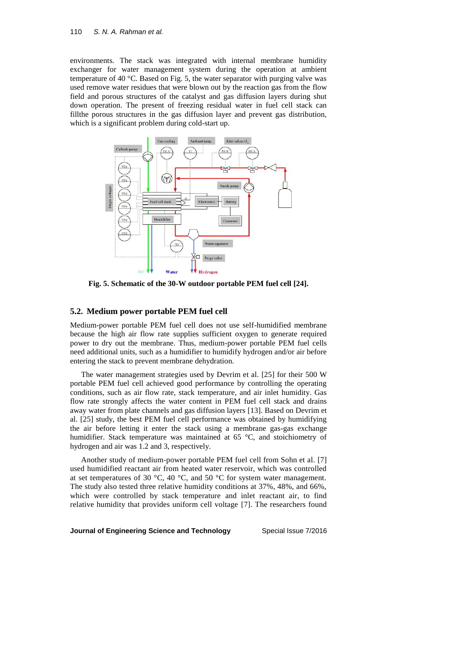environments. The stack was integrated with internal membrane humidity exchanger for water management system during the operation at ambient temperature of 40 °C. Based on Fig. 5, the water separator with purging valve was used remove water residues that were blown out by the reaction gas from the flow field and porous structures of the catalyst and gas diffusion layers during shut down operation. The present of freezing residual water in fuel cell stack can fillthe porous structures in the gas diffusion layer and prevent gas distribution, which is a significant problem during cold-start up.



**Fig. 5. Schematic of the 30-W outdoor portable PEM fuel cell [24].**

### **5.2. Medium power portable PEM fuel cell**

Medium-power portable PEM fuel cell does not use self-humidified membrane because the high air flow rate supplies sufficient oxygen to generate required power to dry out the membrane. Thus, medium-power portable PEM fuel cells need additional units, such as a humidifier to humidify hydrogen and/or air before entering the stack to prevent membrane dehydration.

The water management strategies used by Devrim et al. [25] for their 500 W portable PEM fuel cell achieved good performance by controlling the operating conditions, such as air flow rate, stack temperature, and air inlet humidity. Gas flow rate strongly affects the water content in PEM fuel cell stack and drains away water from plate channels and gas diffusion layers [13]. Based on Devrim et al. [25] study, the best PEM fuel cell performance was obtained by humidifying the air before letting it enter the stack using a membrane gas-gas exchange humidifier. Stack temperature was maintained at 65 °C, and stoichiometry of hydrogen and air was 1.2 and 3, respectively.

Another study of medium-power portable PEM fuel cell from Sohn et al. [7] used humidified reactant air from heated water reservoir, which was controlled at set temperatures of 30 °C, 40 °C, and 50 °C for system water management. The study also tested three relative humidity conditions at 37%, 48%, and 66%, which were controlled by stack temperature and inlet reactant air, to find relative humidity that provides uniform cell voltage [7]. The researchers found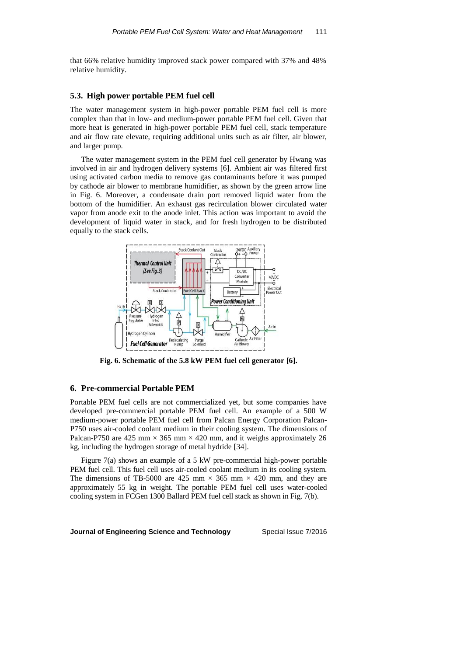that 66% relative humidity improved stack power compared with 37% and 48% relative humidity.

### **5.3. High power portable PEM fuel cell**

The water management system in high-power portable PEM fuel cell is more complex than that in low- and medium-power portable PEM fuel cell. Given that more heat is generated in high-power portable PEM fuel cell, stack temperature and air flow rate elevate, requiring additional units such as air filter, air blower, and larger pump.

The water management system in the PEM fuel cell generator by Hwang was involved in air and hydrogen delivery systems [6]. Ambient air was filtered first using activated carbon media to remove gas contaminants before it was pumped by cathode air blower to membrane humidifier, as shown by the green arrow line in Fig. 6. Moreover, a condensate drain port removed liquid water from the bottom of the humidifier. An exhaust gas recirculation blower circulated water vapor from anode exit to the anode inlet. This action was important to avoid the development of liquid water in stack, and for fresh hydrogen to be distributed equally to the stack cells.



**Fig. 6. Schematic of the 5.8 kW PEM fuel cell generator [6].**

# **6. Pre-commercial Portable PEM**

Portable PEM fuel cells are not commercialized yet, but some companies have developed pre-commercial portable PEM fuel cell. An example of a 500 W medium-power portable PEM fuel cell from Palcan Energy Corporation Palcan-P750 uses air-cooled coolant medium in their cooling system. The dimensions of Palcan-P750 are 425 mm  $\times$  365 mm  $\times$  420 mm, and it weighs approximately 26 kg, including the hydrogen storage of metal hydride [34].

Figure 7(a) shows an example of a 5 kW pre-commercial high-power portable PEM fuel cell. This fuel cell uses air-cooled coolant medium in its cooling system. The dimensions of TB-5000 are 425 mm  $\times$  365 mm  $\times$  420 mm, and they are approximately 55 kg in weight. The portable PEM fuel cell uses water-cooled cooling system in FCGen 1300 Ballard PEM fuel cell stack as shown in Fig. 7(b).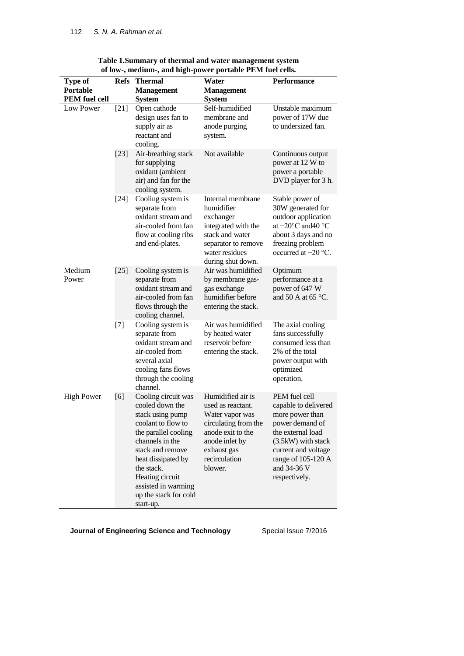| <b>Type of</b>       | <b>Refs</b> | <b>Thermal</b>                                                                                                                                                                                                                                                      | Water                                                                                                                                                               | Performance                                                                                                                                                                                         |
|----------------------|-------------|---------------------------------------------------------------------------------------------------------------------------------------------------------------------------------------------------------------------------------------------------------------------|---------------------------------------------------------------------------------------------------------------------------------------------------------------------|-----------------------------------------------------------------------------------------------------------------------------------------------------------------------------------------------------|
| Portable             |             | <b>Management</b>                                                                                                                                                                                                                                                   | <b>Management</b>                                                                                                                                                   |                                                                                                                                                                                                     |
| <b>PEM</b> fuel cell |             | <b>System</b>                                                                                                                                                                                                                                                       | <b>System</b>                                                                                                                                                       |                                                                                                                                                                                                     |
| Low Power            | $[21]$      | Open cathode<br>design uses fan to<br>supply air as<br>reactant and<br>cooling.                                                                                                                                                                                     | Self-humidified<br>membrane and<br>anode purging<br>system.                                                                                                         | Unstable maximum<br>power of 17W due<br>to undersized fan.                                                                                                                                          |
|                      | $[23]$      | Air-breathing stack<br>for supplying<br>oxidant (ambient<br>air) and fan for the<br>cooling system.                                                                                                                                                                 | Not available                                                                                                                                                       | Continuous output<br>power at 12 W to<br>power a portable<br>DVD player for 3 h.                                                                                                                    |
|                      | $[24]$      | Cooling system is<br>separate from<br>oxidant stream and<br>air-cooled from fan<br>flow at cooling ribs<br>and end-plates.                                                                                                                                          | Internal membrane<br>humidifier<br>exchanger<br>integrated with the<br>stack and water<br>separator to remove<br>water residues<br>during shut down.                | Stable power of<br>30W generated for<br>outdoor application<br>at $-20^{\circ}$ C and 40 $^{\circ}$ C<br>about 3 days and no<br>freezing problem<br>occurred at $-20$ °C.                           |
| Medium<br>Power      | $[25]$      | Cooling system is<br>separate from<br>oxidant stream and<br>air-cooled from fan<br>flows through the<br>cooling channel.                                                                                                                                            | Air was humidified<br>by membrane gas-<br>gas exchange<br>humidifier before<br>entering the stack.                                                                  | Optimum<br>performance at a<br>power of 647 W<br>and 50 A at 65 $\degree$ C.                                                                                                                        |
|                      | $[7]$       | Cooling system is<br>separate from<br>oxidant stream and<br>air-cooled from<br>several axial<br>cooling fans flows<br>through the cooling<br>channel.                                                                                                               | Air was humidified<br>by heated water<br>reservoir before<br>entering the stack.                                                                                    | The axial cooling<br>fans successfully<br>consumed less than<br>2% of the total<br>power output with<br>optimized<br>operation.                                                                     |
| <b>High Power</b>    | [6]         | Cooling circuit was<br>cooled down the<br>stack using pump<br>coolant to flow to<br>the parallel cooling<br>channels in the<br>stack and remove<br>heat dissipated by<br>the stack.<br>Heating circuit<br>assisted in warming<br>up the stack for cold<br>start-up. | Humidified air is<br>used as reactant.<br>Water vapor was<br>circulating from the<br>anode exit to the<br>anode inlet by<br>exhaust gas<br>recirculation<br>blower. | PEM fuel cell<br>capable to delivered<br>more power than<br>power demand of<br>the external load<br>(3.5kW) with stack<br>current and voltage<br>range of 105-120 A<br>and 34-36 V<br>respectively. |

**Table 1.Summary of thermal and water management system of low-, medium-, and high-power portable PEM fuel cells.**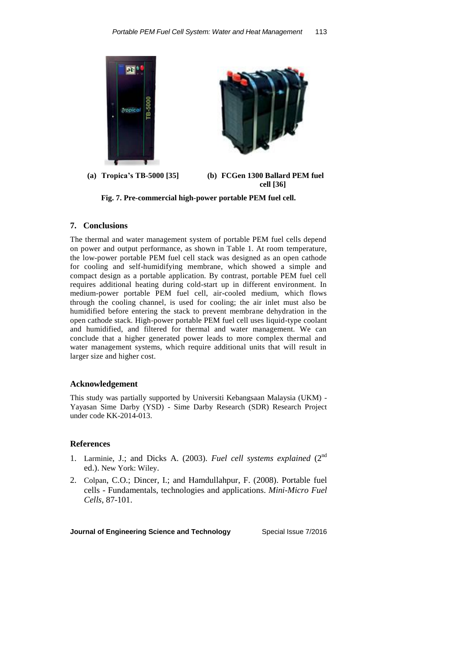

**Fig. 7. Pre-commercial high-power portable PEM fuel cell.**

## **7. Conclusions**

The thermal and water management system of portable PEM fuel cells depend on power and output performance, as shown in Table 1. At room temperature, the low-power portable PEM fuel cell stack was designed as an open cathode for cooling and self-humidifying membrane, which showed a simple and compact design as a portable application. By contrast, portable PEM fuel cell requires additional heating during cold-start up in different environment. In medium-power portable PEM fuel cell, air-cooled medium, which flows through the cooling channel, is used for cooling; the air inlet must also be humidified before entering the stack to prevent membrane dehydration in the open cathode stack. High-power portable PEM fuel cell uses liquid-type coolant and humidified, and filtered for thermal and water management. We can conclude that a higher generated power leads to more complex thermal and water management systems, which require additional units that will result in larger size and higher cost.

### **Acknowledgement**

This study was partially supported by Universiti Kebangsaan Malaysia (UKM) - Yayasan Sime Darby (YSD) - Sime Darby Research (SDR) Research Project under code KK-2014-013.

### **References**

- 1. Larminie, J.; and Dicks A. (2003). *Fuel cell systems explained* (2nd ed.). New York: Wiley.
- 2. Colpan, C.O.; Dincer, I.; and Hamdullahpur, F. (2008). Portable fuel cells - Fundamentals, technologies and applications. *Mini-Micro Fuel Cells*, 87-101.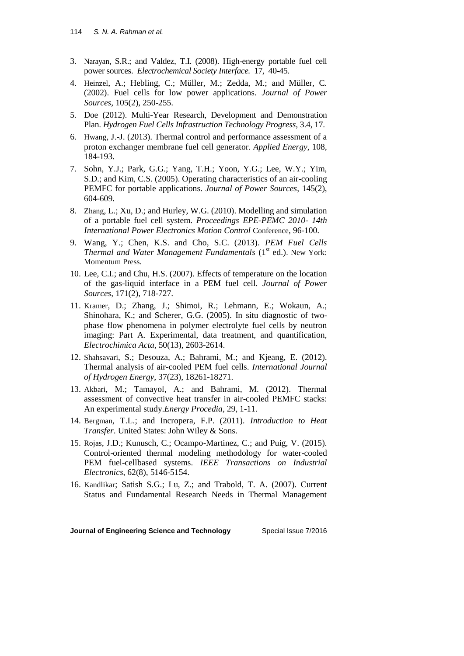- 3. Narayan, S.R.; and Valdez, T.I. (2008). High-energy portable fuel cell power sources. *Electrochemical Society Interface.* 17, 40-45.
- 4. Heinzel, A.; Hebling, C.; Müller, M.; Zedda, M.; and Müller, C. (2002). Fuel cells for low power applications. *Journal of Power Sources*, 105(2), 250-255.
- 5. Doe (2012). Multi-Year Research, Development and Demonstration Plan. *Hydrogen Fuel Cells Infrastruction Technology Progress*, 3.4, 17.
- 6. Hwang, J.-J. (2013). Thermal control and performance assessment of a proton exchanger membrane fuel cell generator. *Applied Energy*, 108, 184-193.
- 7. Sohn, Y.J.; Park, G.G.; Yang, T.H.; Yoon, Y.G.; Lee, W.Y.; Yim, S.D.; and Kim, C.S. (2005). Operating characteristics of an air-cooling PEMFC for portable applications. *Journal of Power Sources*, 145(2), 604-609.
- 8. Zhang, L.; Xu, D.; and Hurley, W.G. (2010). Modelling and simulation of a portable fuel cell system. *Proceedings EPE-PEMC 2010- 14th International Power Electronics Motion Control* Conference*,* 96-100.
- 9. Wang, Y.; Chen, K.S. and Cho, S.C. (2013). *PEM Fuel Cells Thermal and Water Management Fundamentals* (1<sup>st</sup> ed.). New York: Momentum Press.
- 10. Lee, C.I.; and Chu, H.S. (2007). Effects of temperature on the location of the gas-liquid interface in a PEM fuel cell. *Journal of Power Sources*, 171(2), 718-727.
- 11. Kramer, D.; Zhang, J.; Shimoi, R.; Lehmann, E.; Wokaun, A.; Shinohara, K.; and Scherer, G.G. (2005). In situ diagnostic of twophase flow phenomena in polymer electrolyte fuel cells by neutron imaging: Part A. Experimental, data treatment, and quantification, *Electrochimica Acta*, 50(13), 2603-2614.
- 12. Shahsavari, S.; Desouza, A.; Bahrami, M.; and Kjeang, E. (2012). Thermal analysis of air-cooled PEM fuel cells. *International Journal of Hydrogen Energy*, 37(23), 18261-18271.
- 13. Akbari, M.; Tamayol, A.; and Bahrami, M. (2012). Thermal assessment of convective heat transfer in air-cooled PEMFC stacks: An experimental study.*Energy Procedia*, 29, 1-11.
- 14. Bergman, T.L.; and Incropera, F.P. (2011). *Introduction to Heat Transfer*. United States: John Wiley & Sons.
- 15. Rojas, J.D.; Kunusch, C.; Ocampo-Martinez, C.; and Puig, V. (2015). Control-oriented thermal modeling methodology for water-cooled PEM fuel-cellbased systems. *IEEE Transactions on Industrial Electronics*, 62(8), 5146-5154.
- 16. Kandlikar; Satish S.G.; Lu, Z.; and Trabold, T. A. (2007). Current Status and Fundamental Research Needs in Thermal Management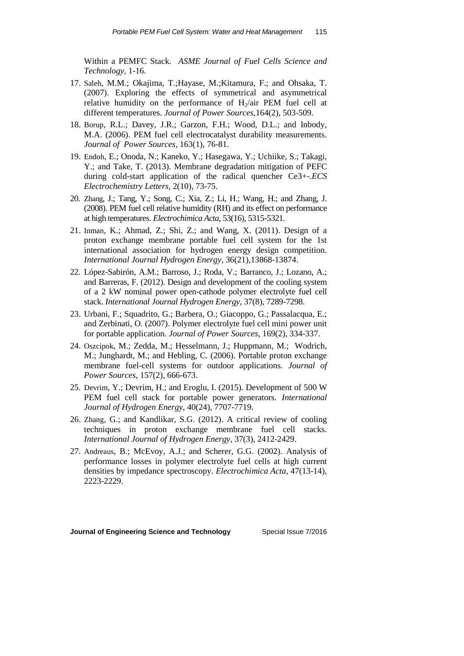Within a PEMFC Stack. *ASME Journal of Fuel Cells Science and Technology,* 1-16.

- 17. Saleh, M.M.; Okajima, T.;Hayase, M.;Kitamura, F.; and Ohsaka, T. (2007). Exploring the effects of symmetrical and asymmetrical relative humidity on the performance of  $H_2$ /air PEM fuel cell at different temperatures. *Journal of Power Sources,*164(2), 503-509.
- 18. Borup, R.L.; Davey, J.R.; Garzon, F.H.; Wood, D.L.; and Inbody, M.A. (2006). PEM fuel cell electrocatalyst durability measurements. *Journal of Power Sources*, 163(1), 76-81.
- 19. Endoh, E.; Onoda, N.; Kaneko, Y.; Hasegawa, Y.; Uchiike, S.; Takagi, Y.; and Take, T. (2013). Membrane degradation mitigation of PEFC during cold-start application of the radical quencher Ce3+-.*ECS Electrochemistry Letters,* 2(10), 73-75.
- 20. Zhang, J.; Tang, Y.; Song, C.; Xia, Z.; Li, H.; Wang, H.; and Zhang, J. (2008). PEM fuel cell relative humidity (RH) and its effect on performance at high temperatures. *Electrochimica Acta*, 53(16), 5315-5321.
- 21. Inman, K.; Ahmad, Z.; Shi, Z.; and Wang, X. (2011). Design of a proton exchange membrane portable fuel cell system for the 1st international association for hydrogen energy design competition. *International Journal Hydrogen Energy*, 36(21),13868-13874.
- 22. López-Sabirón, A.M.; Barroso, J.; Roda, V.; Barranco, J.; Lozano, A.; and Barreras, F. (2012). Design and development of the cooling system of a 2 kW nominal power open-cathode polymer electrolyte fuel cell stack. *International Journal Hydrogen Energy*, 37(8), 7289-7298.
- 23. Urbani, F.; Squadrito, G.; Barbera, O.; Giacoppo, G.; Passalacqua, E.; and Zerbinati, O. (2007). Polymer electrolyte fuel cell mini power unit for portable application. *Journal of Power Sources*, 169(2), 334-337.
- 24. Oszcipok, M.; Zedda, M.; Hesselmann, J.; Huppmann, M.; Wodrich, M.; Junghardt, M.; and Hebling, C. (2006). Portable proton exchange membrane fuel-cell systems for outdoor applications. *Journal of Power Sources*, 157(2), 666-673.
- 25. Devrim, Y.; Devrim, H.; and Eroglu, I. (2015). Development of 500 W PEM fuel cell stack for portable power generators. *International Journal of Hydrogen Energy*, 40(24), 7707-7719.
- 26. Zhang, G.; and Kandlikar, S.G. (2012). A critical review of cooling techniques in proton exchange membrane fuel cell stacks. *International Journal of Hydrogen Energy*, 37(3), 2412-2429.
- 27. Andreaus, B.; McEvoy, A.J.; and Scherer, G.G. (2002). Analysis of performance losses in polymer electrolyte fuel cells at high current densities by impedance spectroscopy. *Electrochimica Acta*, 47(13-14), 2223-2229.